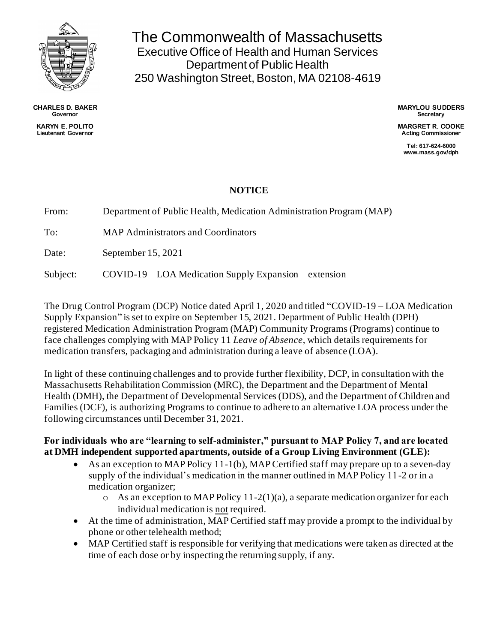

**CHARLES D. BAKER Governor KARYN E. POLITO**

**Lieutenant Governor**

The Commonwealth of Massachusetts Executive Office of Health and Human Services Department of Public Health 250 Washington Street, Boston, MA 02108-4619

> **MARYLOU SUDDERS Secretary**

> **MARGRET R. COOKE Acting Commissioner**

**Tel: 617-624-6000 www.mass.gov/dph**

## **NOTICE**

From: Department of Public Health, Medication Administration Program (MAP)

To: MAP Administrators and Coordinators

Date: September 15, 2021

Subject: COVID-19 – LOA Medication Supply Expansion – extension

The Drug Control Program (DCP) Notice dated April 1, 2020 and titled "COVID-19 – LOA Medication Supply Expansion" is set to expire on September 15, 2021. Department of Public Health (DPH) registered Medication Administration Program (MAP) Community Programs (Programs) continue to face challenges complying with MAP Policy 11 *Leave of Absence*, which details requirements for medication transfers, packaging and administration during a leave of absence (LOA).

In light of these continuing challenges and to provide further flexibility, DCP, in consultation with the Massachusetts Rehabilitation Commission (MRC), the Department and the Department of Mental Health (DMH), the Department of Developmental Services (DDS), and the Department of Children and Families (DCF), is authorizing Programs to continue to adhere to an alternative LOA process under the following circumstances until December 31, 2021.

## **For individuals who are "learning to self-administer," pursuant to MAP Policy 7, and are located at DMH independent supported apartments, outside of a Group Living Environment (GLE):**

- As an exception to MAP Policy 11-1(b), MAP Certified staff may prepare up to a seven-day supply of the individual's medication in the manner outlined in MAP Policy 11-2 or in a medication organizer;
	- o As an exception to MAP Policy 11-2(1)(a), a separate medication organizer for each individual medication is not required.
- At the time of administration, MAP Certified staff may provide a prompt to the individual by phone or other telehealth method;
- MAP Certified staff is responsible for verifying that medications were taken as directed at the time of each dose or by inspecting the returning supply, if any.